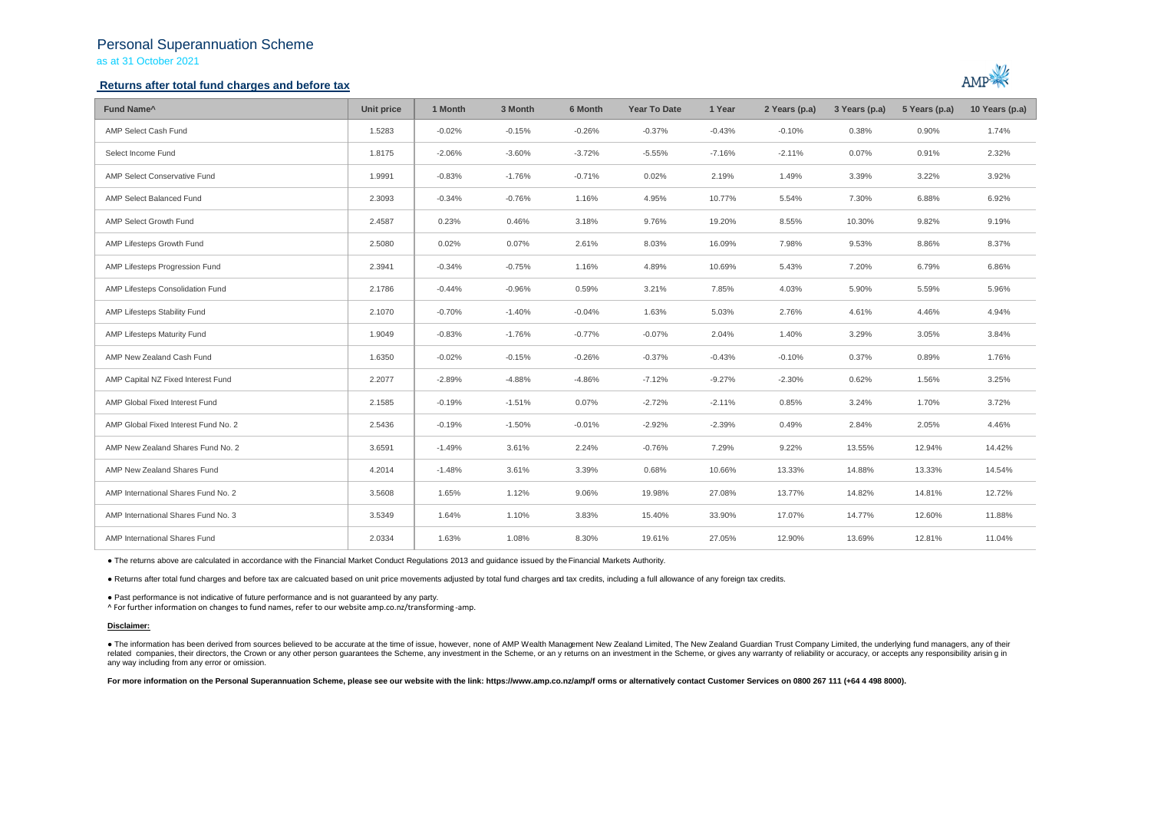## Personal Superannuation Scheme

as at 31 October 2021

### **Returns after total fund charges and before tax**



| Fund Name <sup>^</sup>               | Unit price | 1 Month  | 3 Month  | 6 Month  | <b>Year To Date</b> | 1 Year   | 2 Years (p.a) | 3 Years (p.a) | 5 Years (p.a) | 10 Years (p.a) |
|--------------------------------------|------------|----------|----------|----------|---------------------|----------|---------------|---------------|---------------|----------------|
| AMP Select Cash Fund                 | 1.5283     | $-0.02%$ | $-0.15%$ | $-0.26%$ | $-0.37%$            | $-0.43%$ | $-0.10%$      | 0.38%         | 0.90%         | 1.74%          |
| Select Income Fund                   | 1.8175     | $-2.06%$ | $-3.60%$ | $-3.72%$ | $-5.55%$            | $-7.16%$ | $-2.11%$      | 0.07%         | 0.91%         | 2.32%          |
| AMP Select Conservative Fund         | 1.9991     | $-0.83%$ | $-1.76%$ | $-0.71%$ | 0.02%               | 2.19%    | 1.49%         | 3.39%         | 3.22%         | 3.92%          |
| AMP Select Balanced Fund             | 2.3093     | $-0.34%$ | $-0.76%$ | 1.16%    | 4.95%               | 10.77%   | 5.54%         | 7.30%         | 6.88%         | 6.92%          |
| AMP Select Growth Fund               | 2.4587     | 0.23%    | 0.46%    | 3.18%    | 9.76%               | 19.20%   | 8.55%         | 10.30%        | 9.82%         | 9.19%          |
| AMP Lifesteps Growth Fund            | 2.5080     | 0.02%    | 0.07%    | 2.61%    | 8.03%               | 16.09%   | 7.98%         | 9.53%         | 8.86%         | 8.37%          |
| AMP Lifesteps Progression Fund       | 2.3941     | $-0.34%$ | $-0.75%$ | 1.16%    | 4.89%               | 10.69%   | 5.43%         | 7.20%         | 6.79%         | 6.86%          |
| AMP Lifesteps Consolidation Fund     | 2.1786     | $-0.44%$ | $-0.96%$ | 0.59%    | 3.21%               | 7.85%    | 4.03%         | 5.90%         | 5.59%         | 5.96%          |
| AMP Lifesteps Stability Fund         | 2.1070     | $-0.70%$ | $-1.40%$ | $-0.04%$ | 1.63%               | 5.03%    | 2.76%         | 4.61%         | 4.46%         | 4.94%          |
| AMP Lifesteps Maturity Fund          | 1.9049     | $-0.83%$ | $-1.76%$ | $-0.77%$ | $-0.07%$            | 2.04%    | 1.40%         | 3.29%         | 3.05%         | 3.84%          |
| AMP New Zealand Cash Fund            | 1.6350     | $-0.02%$ | $-0.15%$ | $-0.26%$ | $-0.37%$            | $-0.43%$ | $-0.10%$      | 0.37%         | 0.89%         | 1.76%          |
| AMP Capital NZ Fixed Interest Fund   | 2.2077     | $-2.89%$ | $-4.88%$ | $-4.86%$ | $-7.12%$            | $-9.27%$ | $-2.30%$      | 0.62%         | 1.56%         | 3.25%          |
| AMP Global Fixed Interest Fund       | 2.1585     | $-0.19%$ | $-1.51%$ | 0.07%    | $-2.72%$            | $-2.11%$ | 0.85%         | 3.24%         | 1.70%         | 3.72%          |
| AMP Global Fixed Interest Fund No. 2 | 2.5436     | $-0.19%$ | $-1.50%$ | $-0.01%$ | $-2.92%$            | $-2.39%$ | 0.49%         | 2.84%         | 2.05%         | 4.46%          |
| AMP New Zealand Shares Fund No. 2    | 3.6591     | $-1.49%$ | 3.61%    | 2.24%    | $-0.76%$            | 7.29%    | 9.22%         | 13.55%        | 12.94%        | 14.42%         |
| AMP New Zealand Shares Fund          | 4.2014     | $-1.48%$ | 3.61%    | 3.39%    | 0.68%               | 10.66%   | 13.33%        | 14.88%        | 13.33%        | 14.54%         |
| AMP International Shares Fund No. 2  | 3.5608     | 1.65%    | 1.12%    | 9.06%    | 19.98%              | 27.08%   | 13.77%        | 14.82%        | 14.81%        | 12.72%         |
| AMP International Shares Fund No. 3  | 3.5349     | 1.64%    | 1.10%    | 3.83%    | 15.40%              | 33.90%   | 17.07%        | 14.77%        | 12.60%        | 11.88%         |
| AMP International Shares Fund        | 2.0334     | 1.63%    | 1.08%    | 8.30%    | 19.61%              | 27.05%   | 12.90%        | 13.69%        | 12.81%        | 11.04%         |

● The returns above are calculated in accordance with the Financial Market Conduct Regulations 2013 and guidance issued by the Financial Markets Authority.

● Returns after total fund charges and before tax are calcuated based on unit price movements adjusted by total fund charges and tax credits, including a full allowance of any foreign tax credits.

● Past performance is not indicative of future performance and is not guaranteed by any party.

^ For further information on changes to fund names, refer to our website amp.co.nz/transforming -amp.

### **Disclaimer:**

. The information has been derived from sources believed to be accurate at the time of issue, however, none of AMP Wealth Management New Zealand Limited, The New Zealand Guardian Trust Company Limited, the underlying fund related companies, their directors, the Crown or any other person quarantees the Scheme, any investment in the Scheme, or any returns on an investment in the Scheme, or gives any warranty of reliability or accuracy, or acc any way including from any error or omission.

For more information on the Personal Superannuation Scheme, please see our website with the link: https://www.amp.co.nz/amp/f orms or alternatively contact Customer Services on 0800 267 111 (+64 4 498 8000).